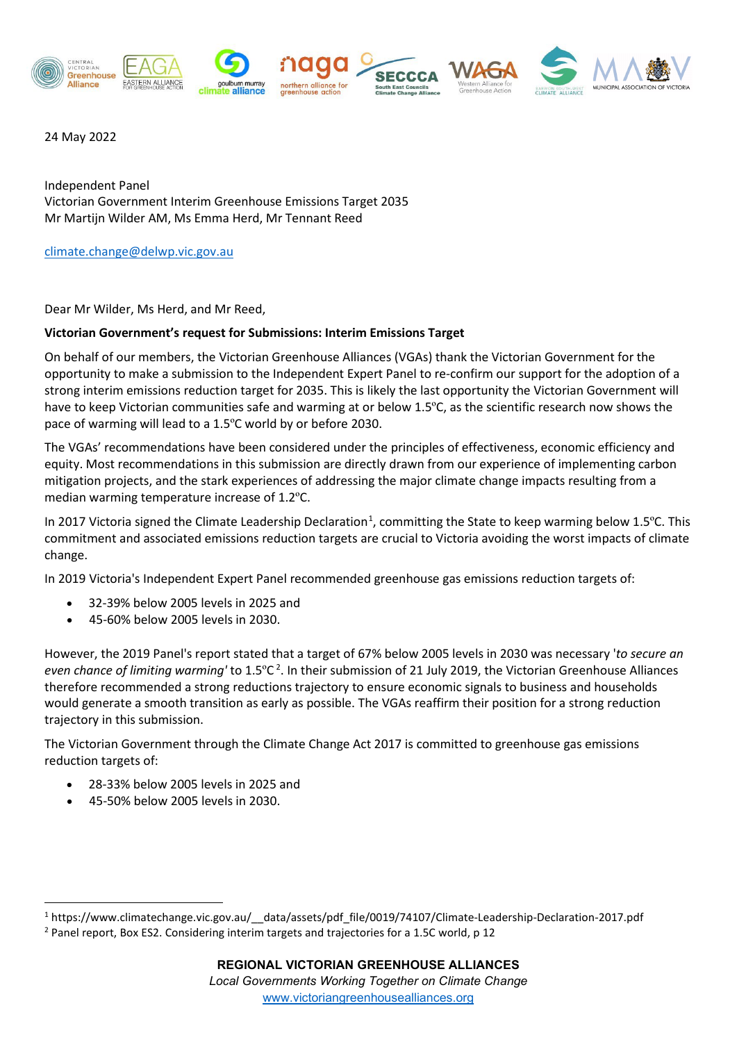

24 May 2022

Independent Panel Victorian Government Interim Greenhouse Emissions Target 2035 Mr Martijn Wilder AM, Ms Emma Herd, Mr Tennant Reed

[climate.change@delwp.vic.gov.au](mailto:climate.change@delwp.vic.gov.au)

Dear Mr Wilder, Ms Herd, and Mr Reed,

## **Victorian Government's request for Submissions: Interim Emissions Target**

On behalf of our members, the Victorian Greenhouse Alliances (VGAs) thank the Victorian Government for the opportunity to make a submission to the Independent Expert Panel to re-confirm our support for the adoption of a strong interim emissions reduction target for 2035. This is likely the last opportunity the Victorian Government will have to keep Victorian communities safe and warming at or below 1.5ºC, as the scientific research now shows the pace of warming will lead to a 1.5ºC world by or before 2030.

The VGAs' recommendations have been considered under the principles of effectiveness, economic efficiency and equity. Most recommendations in this submission are directly drawn from our experience of implementing carbon mitigation projects, and the stark experiences of addressing the major climate change impacts resulting from a median warming temperature increase of 1.2ºC.

In 20[1](#page-0-0)7 Victoria signed the Climate Leadership Declaration<sup>1</sup>, committing the State to keep warming below 1.5°C. This commitment and associated emissions reduction targets are crucial to Victoria avoiding the worst impacts of climate change.

In 2019 Victoria's Independent Expert Panel recommended greenhouse gas emissions reduction targets of:

- 32-39% below 2005 levels in 2025 and
- 45-60% below 2005 levels in 2030.

However, the 2019 Panel's report stated that a target of 67% below 2005 levels in 2030 was necessary '*to secure an even chance of limiting warming'* to 1.5ºC [2](#page-0-1) . In their submission of 21 July 2019, the Victorian Greenhouse Alliances therefore recommended a strong reductions trajectory to ensure economic signals to business and households would generate a smooth transition as early as possible. The VGAs reaffirm their position for a strong reduction trajectory in this submission.

The Victorian Government through the Climate Change Act 2017 is committed to greenhouse gas emissions reduction targets of:

- 28-33% below 2005 levels in 2025 and
- 45-50% below 2005 levels in 2030.

<span id="page-0-1"></span><span id="page-0-0"></span><sup>1</sup> https://www.climatechange.vic.gov.au/\_\_data/assets/pdf\_file/0019/74107/Climate-Leadership-Declaration-2017.pdf <sup>2</sup> Panel report, Box ES2. Considering interim targets and trajectories for a 1.5C world, p 12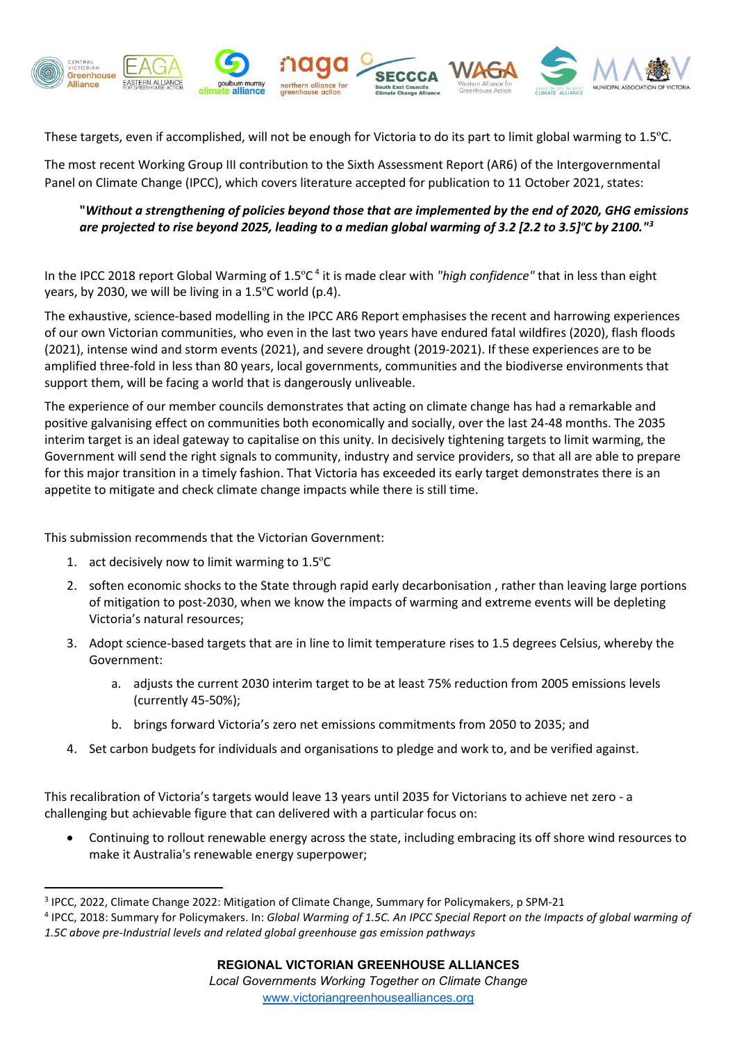

These targets, even if accomplished, will not be enough for Victoria to do its part to limit global warming to 1.5ºC.

The most recent Working Group III contribution to the Sixth Assessment Report (AR6) of the Intergovernmental Panel on Climate Change (IPCC), which covers literature accepted for publication to 11 October 2021, states:

## **"***Without a strengthening of policies beyond those that are implemented by the end of 2020, GHG emissions are projected to rise beyond 2025, leading to a median global warming of 3.2 [2.2 to 3.5]ºC by 2100."[3](#page-1-0)*

In the IPCC 2018 report Global Warming of 1.5ºC [4](#page-1-1) it is made clear with *"high confidence"* that in less than eight years, by 2030, we will be living in a 1.5ºC world (p.4).

The exhaustive, science-based modelling in the IPCC AR6 Report emphasises the recent and harrowing experiences of our own Victorian communities, who even in the last two years have endured fatal wildfires (2020), flash floods (2021), intense wind and storm events (2021), and severe drought (2019-2021). If these experiences are to be amplified three-fold in less than 80 years, local governments, communities and the biodiverse environments that support them, will be facing a world that is dangerously unliveable.

The experience of our member councils demonstrates that acting on climate change has had a remarkable and positive galvanising effect on communities both economically and socially, over the last 24-48 months. The 2035 interim target is an ideal gateway to capitalise on this unity. In decisively tightening targets to limit warming, the Government will send the right signals to community, industry and service providers, so that all are able to prepare for this major transition in a timely fashion. That Victoria has exceeded its early target demonstrates there is an appetite to mitigate and check climate change impacts while there is still time.

This submission recommends that the Victorian Government:

- 1. act decisively now to limit warming to 1.5ºC
- 2. soften economic shocks to the State through rapid early decarbonisation , rather than leaving large portions of mitigation to post-2030, when we know the impacts of warming and extreme events will be depleting Victoria's natural resources;
- 3. Adopt science-based targets that are in line to limit temperature rises to 1.5 degrees Celsius, whereby the Government:
	- a. adjusts the current 2030 interim target to be at least 75% reduction from 2005 emissions levels (currently 45-50%);
	- b. brings forward Victoria's zero net emissions commitments from 2050 to 2035; and
- 4. Set carbon budgets for individuals and organisations to pledge and work to, and be verified against.

This recalibration of Victoria's targets would leave 13 years until 2035 for Victorians to achieve net zero - a challenging but achievable figure that can delivered with a particular focus on:

• Continuing to rollout renewable energy across the state, including embracing its off shore wind resources to make it Australia's renewable energy superpower;

<span id="page-1-0"></span><sup>3</sup> IPCC, 2022, Climate Change 2022: Mitigation of Climate Change, Summary for Policymakers, p SPM-21

<span id="page-1-1"></span><sup>4</sup> IPCC, 2018: Summary for Policymakers. In: *Global Warming of 1.5C. An IPCC Special Report on the Impacts of global warming of 1.5C above pre-Industrial levels and related global greenhouse gas emission pathways*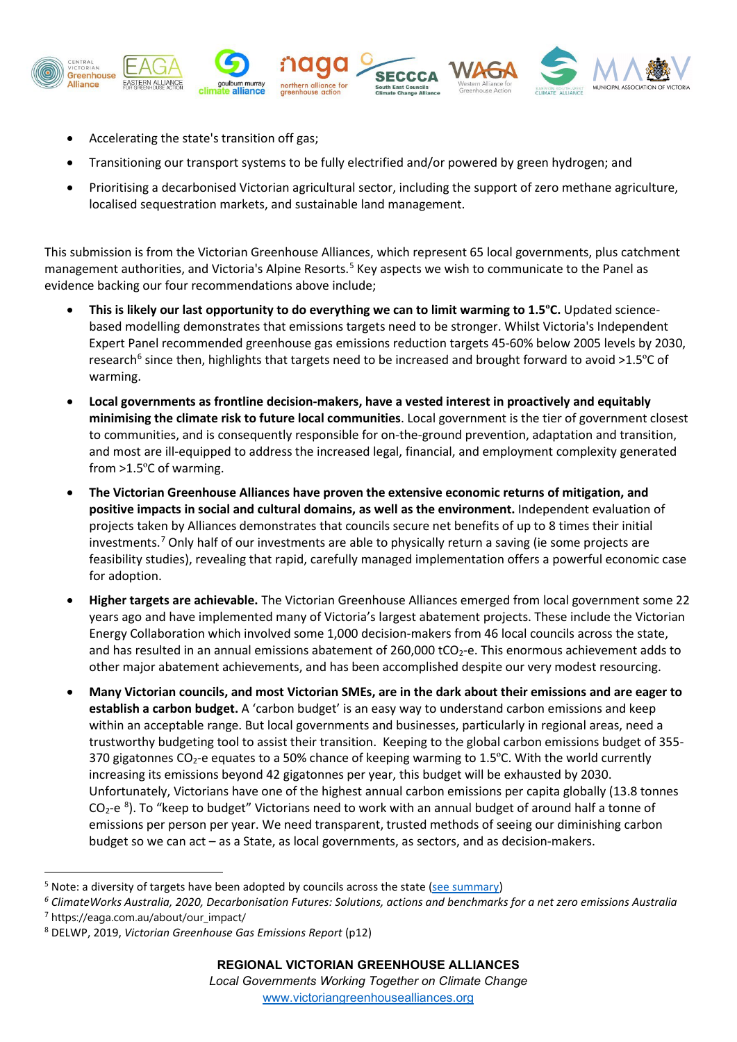

- Accelerating the state's transition off gas;
- Transitioning our transport systems to be fully electrified and/or powered by green hydrogen; and
- Prioritising a decarbonised Victorian agricultural sector, including the support of zero methane agriculture, localised sequestration markets, and sustainable land management.

This submission is from the Victorian Greenhouse Alliances, which represent 65 local governments, plus catchment management authorities, and Victoria's Alpine Resorts.<sup>[5](#page-2-0)</sup> Key aspects we wish to communicate to the Panel as evidence backing our four recommendations above include;

- **This is likely our last opportunity to do everything we can to limit warming to 1.5ºC.** Updated sciencebased modelling demonstrates that emissions targets need to be stronger. Whilst Victoria's Independent Expert Panel recommended greenhouse gas emissions reduction targets 45-60% below 2005 levels by 2030, research<sup>[6](#page-2-1)</sup> since then, highlights that targets need to be increased and brought forward to avoid >1.5 $\degree$ C of warming.
- **Local governments as frontline decision-makers, have a vested interest in proactively and equitably minimising the climate risk to future local communities**. Local government is the tier of government closest to communities, and is consequently responsible for on-the-ground prevention, adaptation and transition, and most are ill-equipped to address the increased legal, financial, and employment complexity generated from >1.5ºC of warming.
- **The Victorian Greenhouse Alliances have proven the extensive economic returns of mitigation, and positive impacts in social and cultural domains, as well as the environment.** Independent evaluation of projects taken by Alliances demonstrates that councils secure net benefits of up to 8 times their initial investments. [7](#page-2-2) Only half of our investments are able to physically return a saving (ie some projects are feasibility studies), revealing that rapid, carefully managed implementation offers a powerful economic case for adoption.
- **Higher targets are achievable.** The Victorian Greenhouse Alliances emerged from local government some 22 years ago and have implemented many of Victoria's largest abatement projects. These include the Victorian Energy Collaboration which involved some 1,000 decision-makers from 46 local councils across the state, and has resulted in an annual emissions abatement of 260,000 tCO<sub>2</sub>-e. This enormous achievement adds to other major abatement achievements, and has been accomplished despite our very modest resourcing.
- **Many Victorian councils, and most Victorian SMEs, are in the dark about their emissions and are eager to establish a carbon budget.** A 'carbon budget' is an easy way to understand carbon emissions and keep within an acceptable range. But local governments and businesses, particularly in regional areas, need a trustworthy budgeting tool to assist their transition. Keeping to the global carbon emissions budget of 355- 370 gigatonnes CO<sub>2</sub>-e equates to a 50% chance of keeping warming to 1.5°C. With the world currently increasing its emissions beyond 42 gigatonnes per year, this budget will be exhausted by 2030. Unfortunately, Victorians have one of the highest annual carbon emissions per capita globally (13.8 tonnes  $CO<sub>2</sub> - e<sup>8</sup>$  $CO<sub>2</sub> - e<sup>8</sup>$  $CO<sub>2</sub> - e<sup>8</sup>$ ). To "keep to budget" Victorians need to work with an annual budget of around half a tonne of emissions per person per year. We need transparent, trusted methods of seeing our diminishing carbon budget so we can act – as a State, as local governments, as sectors, and as decision-makers.

<span id="page-2-0"></span><sup>&</sup>lt;sup>5</sup> Note: a diversity of targets have been adopted by councils across the state [\(see summary\)](https://cvga1-my.sharepoint.com/:x:/g/personal/eo_cvga_org_au/EV-qt0WyJgBLqJcYhbPwbs0BgdTdHZUWbKuP30w7U-n4rA?rtime=icGWz04y2kg)

<span id="page-2-2"></span><span id="page-2-1"></span>*<sup>6</sup> ClimateWorks Australia, 2020, Decarbonisation Futures: Solutions, actions and benchmarks for a net zero emissions Australia* <sup>7</sup> https://eaga.com.au/about/our\_impact/

<span id="page-2-3"></span><sup>8</sup> DELWP, 2019, *Victorian Greenhouse Gas Emissions Report* (p12)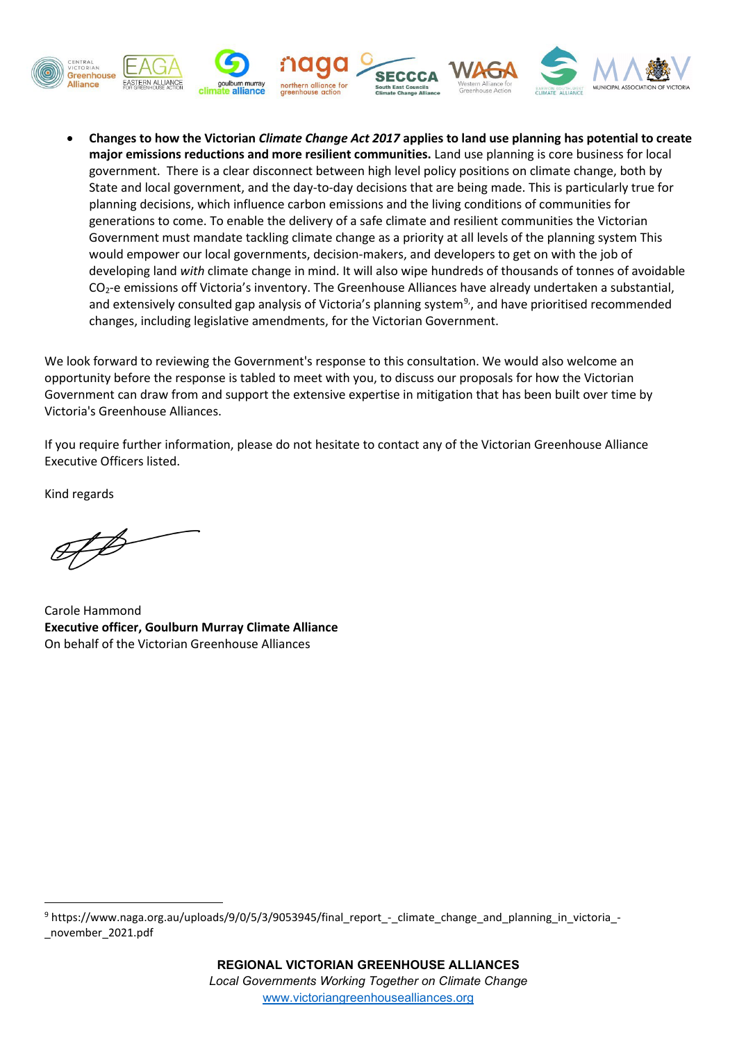

• **Changes to how the Victorian** *Climate Change Act 2017* **applies to land use planning has potential to create major emissions reductions and more resilient communities.** Land use planning is core business for local government. There is a clear disconnect between high level policy positions on climate change, both by State and local government, and the day-to-day decisions that are being made. This is particularly true for planning decisions, which influence carbon emissions and the living conditions of communities for generations to come. To enable the delivery of a safe climate and resilient communities the Victorian Government must mandate tackling climate change as a priority at all levels of the planning system This would empower our local governments, decision-makers, and developers to get on with the job of developing land *with* climate change in mind. It will also wipe hundreds of thousands of tonnes of avoidable CO2-e emissions off Victoria's inventory. The Greenhouse Alliances have already undertaken a substantial, and extensively consulted gap analysis of Victoria's planning system<sup>[9](#page-3-0)</sup>, and have prioritised recommended changes, including legislative amendments, for the Victorian Government.

We look forward to reviewing the Government's response to this consultation. We would also welcome an opportunity before the response is tabled to meet with you, to discuss our proposals for how the Victorian Government can draw from and support the extensive expertise in mitigation that has been built over time by Victoria's Greenhouse Alliances.

If you require further information, please do not hesitate to contact any of the Victorian Greenhouse Alliance Executive Officers listed.

Kind regards

Carole Hammond **Executive officer, Goulburn Murray Climate Alliance** On behalf of the Victorian Greenhouse Alliances

<span id="page-3-0"></span><sup>9</sup> https://www.naga.org.au/uploads/9/0/5/3/9053945/final\_report\_-\_climate\_change\_and\_planning\_in\_victoria\_-\_november\_2021.pdf